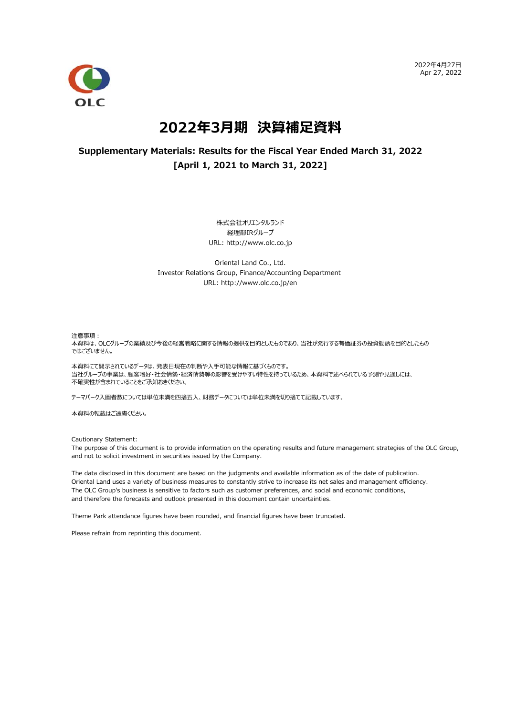2022年4⽉27⽇ Apr 27, 2022



# **2022年3⽉期 決算補⾜資料**

## **Supplementary Materials: Results for the Fiscal Year Ended March 31, 2022 [April 1, 2021 to March 31, 2022]**

株式会社オリエンタルランド 経理部IRグループ URL: http://www.olc.co.jp

Oriental Land Co., Ltd. Investor Relations Group, Finance/Accounting Department URL: http://www.olc.co.jp/en

注意事項:

本資料は、OLCグループの業績及び今後の経営戦略に関する情報の提供を目的としたものであり、当社が発行する有価証券の投資勧誘を目的としたもの ではございません。

本資料にて開示されているデータは、発表日現在の判断や入手可能な情報に基づくものです。 当社グループの事業は、顧客嗜好・社会情勢・経済情勢等の影響を受けやすい特性を持っているため、本資料で述べられている予測や見通しには、 不確実性が含まれていることをご承知おきください。

テーマパーク入園者数については単位未満を四捨五入、財務データについては単位未満を切り捨てて記載しています。

本資料の転載はご遠慮ください。

Cautionary Statement:

The purpose of this document is to provide information on the operating results and future management strategies of the OLC Group, and not to solicit investment in securities issued by the Company.

The data disclosed in this document are based on the judgments and available information as of the date of publication. Oriental Land uses a variety of business measures to constantly strive to increase its net sales and management efficiency. The OLC Group's business is sensitive to factors such as customer preferences, and social and economic conditions, and therefore the forecasts and outlook presented in this document contain uncertainties.

Theme Park attendance figures have been rounded, and financial figures have been truncated.

Please refrain from reprinting this document.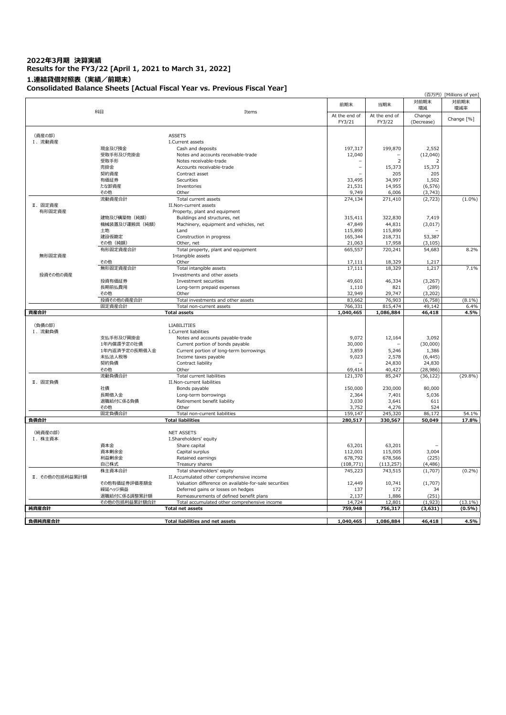## **2022年3⽉期 決算実績 Results for the FY3/22 [April 1, 2021 to March 31, 2022] 1.連結貸借対照表(実績/前期末) Consolidated Balance Sheets [Actual Fiscal Year vs. Previous Fiscal Year]**

|                |                               |                                                                                         |                 |                 |                        | (百万円) [Millions of yen] |
|----------------|-------------------------------|-----------------------------------------------------------------------------------------|-----------------|-----------------|------------------------|-------------------------|
|                |                               |                                                                                         | 前期末             | 当期末             | 対前期末                   | 対前期末                    |
|                | 科目                            | Items                                                                                   |                 |                 | 増減                     | 増減率                     |
|                |                               |                                                                                         | At the end of   | At the end of   | Change                 | Change [%]              |
|                |                               |                                                                                         | FY3/21          | FY3/22          | (Decrease)             |                         |
|                |                               | <b>ASSETS</b>                                                                           |                 |                 |                        |                         |
| (資産の部)         |                               |                                                                                         |                 |                 |                        |                         |
| I. 流動資産        | 現金及び預金                        | I.Current assets<br>Cash and deposits                                                   | 197,317         | 199,870         | 2,552                  |                         |
|                | 受取手形及び売掛金                     | Notes and accounts receivable-trade                                                     | 12,040          |                 | (12,040)               |                         |
|                | 受取手形                          | Notes receivable-trade                                                                  |                 | $\overline{2}$  |                        |                         |
|                | 売掛金                           | Accounts receivable-trade                                                               | $\overline{a}$  | 15,373          | 15,373                 |                         |
|                | 契約資産                          | Contract asset                                                                          |                 | 205             | 205                    |                         |
|                | 有価証券                          | Securities                                                                              | 33,495          | 34,997          | 1,502                  |                         |
|                | たな卸資産                         | Inventories                                                                             | 21,531          | 14,955          | (6, 576)               |                         |
|                | その他                           | Other                                                                                   | 9,749           | 6,006           | (3,743)                |                         |
|                | 流動資産合計                        | Total current assets                                                                    | 274,134         | 271,410         | (2, 723)               | $(1.0\%)$               |
| Ⅱ. 固定資産        |                               | II.Non-current assets                                                                   |                 |                 |                        |                         |
| 有形固定資産         |                               | Property, plant and equipment                                                           |                 |                 |                        |                         |
|                | 建物及び構築物 (純額)                  | Buildings and structures, net                                                           | 315,411         | 322,830         | 7.419                  |                         |
|                | 機械装置及び運搬具 (純額)                | Machinery, equipment and vehicles, net                                                  | 47,849          | 44,831          | (3,017)                |                         |
|                | 土地                            | Land                                                                                    | 115,890         | 115,890         |                        |                         |
|                | 建設仮勘定                         | Construction in progress                                                                | 165,344         | 218,731         | 53,387                 |                         |
|                | その他 (純額)                      | Other, net                                                                              | 21,063          | 17,958          | (3, 105)               |                         |
|                | 有形固定資産合計                      | Total property, plant and equipment                                                     | 665,557         | 720,241         | 54,683                 | 8.2%                    |
| 無形固定資産         |                               | Intangible assets                                                                       |                 |                 |                        |                         |
|                | その他                           | Other                                                                                   | 17,111          | 18,329          | 1,217                  |                         |
|                | 無形固定資産合計                      | Total intangible assets                                                                 | 17,111          | 18,329          | 1,217                  | 7.1%                    |
| 投資その他の資産       |                               | Investments and other assets                                                            |                 |                 |                        |                         |
|                | 投資有価証券                        | Investment securities                                                                   | 49,601          | 46,334          | (3, 267)               |                         |
|                | 長期前払費用                        | Long-term prepaid expenses                                                              | 1,110           | 821             | (289)                  |                         |
|                | その他                           | Other                                                                                   | 32,949          | 29,747          | (3, 202)               |                         |
|                | 投資その他の資産合計                    | Total investments and other assets                                                      | 83,662          | 76,903          | (6, 758)               | $(8.1\%)$               |
|                | 固定資産合計                        | Total non-current assets                                                                | 766,331         | 815,474         | 49,142                 | 6.4%                    |
|                |                               |                                                                                         |                 |                 |                        |                         |
| 資産合計           |                               | <b>Total assets</b>                                                                     | 1,040,465       | 1,086,884       | 46,418                 | 4.5%                    |
|                |                               |                                                                                         |                 |                 |                        |                         |
| (負債の部)         |                               | <b>LIABILITIES</b>                                                                      |                 |                 |                        |                         |
| I. 流動負債        |                               | I.Current liabilities                                                                   |                 |                 |                        |                         |
|                | 支払手形及び買掛金                     | Notes and accounts payable-trade                                                        | 9,072           | 12,164          | 3,092                  |                         |
|                | 1年内償還予定の社債                    | Current portion of bonds payable                                                        | 30,000          |                 | (30,000)               |                         |
|                | 1年内返済予定の長期借入金                 | Current portion of long-term borrowings                                                 | 3,859           | 5,246           | 1,386                  |                         |
|                | 未払法人税等<br>契約負債                | Income taxes payable<br>Contract liability                                              | 9,023           | 2,578<br>24,830 | (6, 445)               |                         |
|                | その他                           | Other                                                                                   | 69,414          | 40,427          | 24,830                 |                         |
|                | 流動負債合計                        | Total current liabilities                                                               | 121,370         | 85,247          | (28, 986)<br>(36, 122) | $(29.8\%)$              |
| Ⅱ. 固定負債        |                               | II.Non-current liabilities                                                              |                 |                 |                        |                         |
|                | 社債                            | Bonds payable                                                                           | 150,000         | 230,000         | 80,000                 |                         |
|                | 長期借入金                         | Long-term borrowings                                                                    | 2,364           | 7,401           | 5,036                  |                         |
|                | 退職給付に係る負債                     | Retirement benefit liability                                                            | 3,030           | 3,641           | 611                    |                         |
|                | その他                           | Other                                                                                   | 3,752           | 4,276           | 524                    |                         |
|                | 固定負債合計                        | Total non-current liabilities                                                           | 159,147         | 245,320         | 86,172                 | 54.1%                   |
| 負債合計           |                               | <b>Total liabilities</b>                                                                | 280,517         | 330,567         | 50,049                 | 17.8%                   |
|                |                               |                                                                                         |                 |                 |                        |                         |
| (純資産の部)        |                               | <b>NET ASSETS</b>                                                                       |                 |                 |                        |                         |
| I. 株主資本        |                               | I.Shareholders' equity                                                                  |                 |                 |                        |                         |
|                | 資本金                           | Share capital                                                                           | 63,201          | 63,201          |                        |                         |
|                | 資本剰余金                         | Capital surplus                                                                         | 112,001         | 115,005         | 3,004                  |                         |
|                | 利益剰余金                         | Retained earnings                                                                       | 678,792         | 678,566         | (225)                  |                         |
|                | 自己株式                          | Treasury shares                                                                         | (108, 771)      | (113, 257)      | (4, 486)               |                         |
|                | 株主資本合計                        | Total shareholders' equity                                                              | 745,223         | 743,515         | (1,707)                |                         |
| Ⅱ. その他の包括利益累計額 |                               | II.Accumulated other comprehensive income                                               |                 |                 |                        | $(0.2\%)$               |
|                | その他有価証券評価差額金                  | Valuation difference on available-for-sale securities                                   | 12,449          | 10,741          | (1,707)                |                         |
|                | 繰延ヘッジ損益                       | Deferred gains or losses on hedges                                                      | 137             | 172             | 34                     |                         |
|                | 退職給付に係る調整累計額<br>その他の包括利益累計額合計 | Remeasurements of defined benefit plans<br>Total accumulated other comprehensive income | 2,137<br>14,724 | 1,886<br>12,801 | (251)<br>(1,923)       | $(13.1\%)$              |
| 純資産合計          |                               | <b>Total net assets</b>                                                                 | 759,948         | 756,317         | (3,631)                | $(0.5\%)$               |
|                |                               |                                                                                         |                 |                 |                        |                         |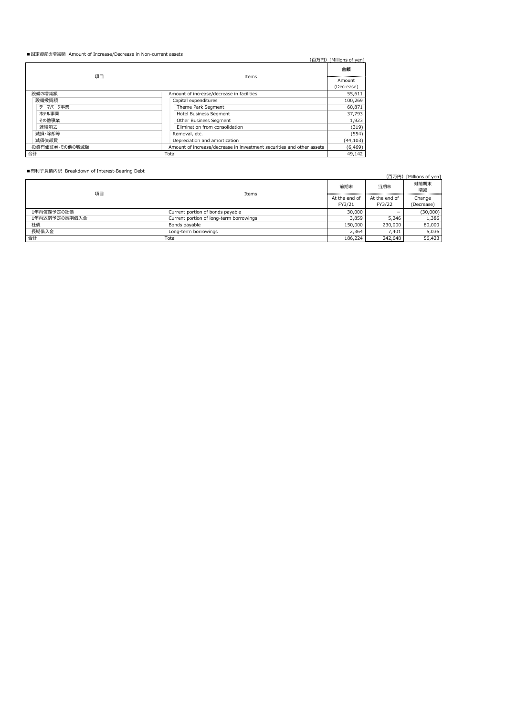### ■固定資産の増減額 Amount of Increase/Decrease in Non-current assets

| ■图定只生♡怡麻味 Amount Of Increase/Decrease in Non-current assets | (百万円)                                                                 | [Millions of ven]    |
|-------------------------------------------------------------|-----------------------------------------------------------------------|----------------------|
|                                                             |                                                                       | 金額                   |
| 項目                                                          | <b>Items</b>                                                          | Amount<br>(Decrease) |
| 設備の増減額                                                      | Amount of increase/decrease in facilities                             | 55.611               |
| 設備投資額                                                       | Capital expenditures                                                  | 100.269              |
| テーマパーク事業                                                    | Theme Park Segment                                                    | 60.871               |
| ホテル事業                                                       | <b>Hotel Business Segment</b>                                         | 37,793               |
| その他事業                                                       | Other Business Segment                                                | 1,923                |
| 連結消去                                                        | Elimination from consolidation                                        | (319)                |
| 減損・除却等                                                      | Removal, etc.                                                         | (554)                |
| 減価償却費                                                       | Depreciation and amortization                                         | (44, 103)            |
| 投資有価証券・その他の増減額                                              | Amount of increase/decrease in investment securities and other assets | (6, 469)             |
| 合計                                                          | Total                                                                 | 49.142               |

■有利子負債内訳 Breakdown of Interest-Bearing Debt

|               |                                         |                                |         | (百万円) [Millions of yen] |
|---------------|-----------------------------------------|--------------------------------|---------|-------------------------|
| 項目            | Items                                   | 前期末                            | 当期末     | 対前期末<br>増減              |
|               |                                         | At the end of<br>At the end of |         |                         |
|               |                                         | FY3/21                         | FY3/22  | (Decrease)              |
| 1年内償還予定の社債    | Current portion of bonds payable        | 30,000                         |         | (30,000)                |
| 1年内返済予定の長期借入金 | Current portion of long-term borrowings | 3.859                          | 5.246   | 1,386                   |
| 社倩            | Bonds payable                           | 150,000                        | 230,000 | 80,000                  |
| 長期借入金         | Long-term borrowings                    | 2.364                          | 7.401   | 5,036                   |
| 合計            | Total                                   | 186.224                        | 242,648 | 56,423                  |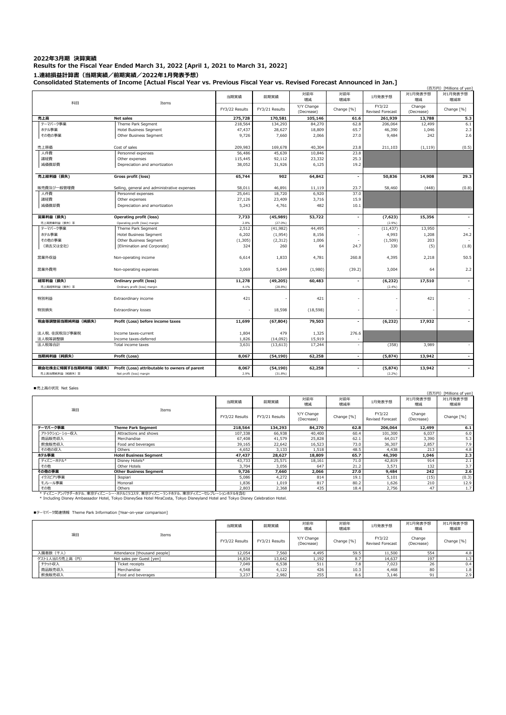#### **2022年3⽉期 決算実績 Results for the Fiscal Year Ended March 31, 2022 [April 1, 2021 to March 31, 2022] 1.連結損益計算書(当期実績/前期実績/2022年1⽉発表予想) Consolidated Statements of Income [Actual Fiscal Year vs. Previous Fiscal Year vs. Revised Forecast Announced in Jan.]**

|                       |                                                |                |                |                          | (百万円) [Millions of yen]  |                                   |                      |                |
|-----------------------|------------------------------------------------|----------------|----------------|--------------------------|--------------------------|-----------------------------------|----------------------|----------------|
| 科目                    | Items                                          | 当期実績           | 前期実績           | 対前年<br>増減                | 対前年<br>增減率               | 1月発表予想                            | 対1月発表予想<br>増減        | 対1月発表予想<br>増減率 |
|                       |                                                | FY3/22 Results | FY3/21 Results | Y/Y Change<br>(Decrease) | Change [%]               | FY3/22<br><b>Revised Forecast</b> | Change<br>(Decrease) | Change [%]     |
| 売上高                   | Net sales                                      | 275,728        | 170,581        | 105,146                  | 61.6                     | 261.939                           | 13,788               | 5.3            |
| テーマバーク事業              | Theme Park Segment                             | 218,564        | 134,293        | 84,270                   | 62.8                     | 206,064                           | 12,499               | 6.1            |
| ホテル事業                 | <b>Hotel Business Segment</b>                  | 47,437         | 28,627         | 18,809                   | 65.7                     | 46,390                            | 1,046                | 2.3            |
| その他の事業                | Other Business Segment                         | 9,726          | 7,660          | 2,066                    | 27.0                     | 9,484                             | 242                  | 2.6            |
| 売上原価                  | Cost of sales                                  | 209,983        | 169,678        | 40,304                   | 23.8                     | 211,103                           | (1, 119)             | (0.5)          |
| 人件費                   | Personnel expenses                             | 56,486         | 45,639         | 10,846                   | 23.8                     |                                   |                      |                |
| 諸経費                   |                                                | 115,445        | 92,112         | 23,332                   | 25.3                     |                                   |                      |                |
|                       | Other expenses                                 |                |                | 6,125                    | 19.2                     |                                   |                      |                |
| 減価償却費                 | Depreciation and amortization                  | 38,052         | 31,926         |                          |                          |                                   |                      |                |
| 売上総利益 (損失)            | Gross profit (loss)                            | 65,744         | 902            | 64,842                   | $\overline{\phantom{a}}$ | 50,836                            | 14,908               | 29.3           |
| 販売費及び一般管理費            | Selling, general and administrative expenses   | 58,011         | 46,891         | 11,119                   | 23.7                     | 58,460                            | (448)                | (0.8)          |
| 人件費                   | Personnel expenses                             | 25,641         | 18,720         | 6,920                    | 37.0                     |                                   |                      |                |
| 諸経費                   | Other expenses                                 | 27,126         | 23,409         | 3,716                    | 15.9                     |                                   |                      |                |
| 減価償却費                 | Depreciation and amortization                  | 5,243          | 4,761          | 482                      | 10.1                     |                                   |                      |                |
|                       |                                                |                |                |                          |                          |                                   |                      |                |
| 営業利益(損失)              | <b>Operating profit (loss)</b>                 | 7,733          | (45, 989)      | 53,722                   |                          | (7, 623)                          | 15,356               |                |
| 売上高営業利益 (損失) 率        | Operating profit (loss) margin                 | 2.8%           | (27.0%)        |                          |                          | (2.9%)                            |                      |                |
| テーマバーク事業              | Theme Park Segment                             | 2,512          | (41, 982)      | 44,495                   |                          | (11, 437)                         | 13,950               |                |
| ホテル事業                 | <b>Hotel Business Segment</b>                  | 6,202          | (1,954)        | 8,156                    |                          | 4,993                             | 1,208                | 24.2           |
| その他の事業                | Other Business Segment                         | (1, 305)       | (2, 312)       | 1,006                    |                          | (1, 509)                          | 203                  |                |
| (消去又は全社)              | [Elimination and Corporate]                    | 324            | 260            | 64                       | 24.7                     | 330                               | (5)                  | (1.8)          |
|                       |                                                |                |                |                          |                          |                                   |                      |                |
| 営業外収益                 | Non-operating income                           | 6,614          | 1,833          | 4,781                    | 260.8                    | 4,395                             | 2,218                | 50.5           |
| 営業外費用                 | Non-operating expenses                         | 3,069          | 5,049          | (1,980)                  | (39.2)                   | 3,004                             | 64                   | 2.2            |
| 経常利益 (損失)             | Ordinary profit (loss)                         | 11,278         | (49, 205)      | 60,483                   |                          | (6, 232)                          | 17,510               | $\sim$         |
| 売上高経常利益 (損失) 率        | Ordinary profit (loss) margin                  | 4.1%           | (28.8%)        |                          |                          | (2.4%)                            |                      |                |
| 特別利益                  | Extraordinary income                           | 421            |                | 421                      |                          |                                   | 421                  |                |
|                       |                                                |                |                |                          |                          |                                   |                      |                |
| 特別損失                  | Extraordinary losses                           |                | 18,598         | (18, 598)                |                          |                                   |                      |                |
| 税金等調整前当期純利益(純損失)      | Profit (Loss) before income taxes              | 11,699         | (67, 804)      | 79,503                   |                          | (6, 232)                          | 17,932               |                |
| 法人税、住民税及び事業税          | Income taxes-current                           | 1,804          | 479            | 1,325                    | 276.6                    |                                   |                      |                |
| 法人税等調整額               | Income taxes-deferred                          | 1,826          | (14,092)       | 15,919                   |                          |                                   |                      |                |
| 法人税等合計                | Total income taxes                             | 3,631          | (13, 613)      | 17,244                   |                          | (358)                             | 3,989                |                |
| 当期純利益 (純損失)           | Profit (Loss)                                  | 8,067          | (54, 190)      | 62,258                   | $\sim$                   | (5, 874)                          | 13,942               | $\sim$         |
|                       |                                                |                |                |                          |                          |                                   |                      |                |
| 親会社株主に帰属する当期純利益 (純損失) | Profit (Loss) attributable to owners of parent | 8,067          | (54, 190)      | 62,258                   |                          | (5, 874)                          | 13,942               |                |
| 売上高当期純利益 (純損失) 率      | Net profit (loss) margin                       | 2.9%           | (31.8%)        |                          |                          | (2.2%)                            |                      |                |

#### ■売上高の状況 Net Sales

| ■冗工同ツ1人儿 INEL Jdies |                                                                                                                                                                                                             | (百万円) [Millions of yen] |                |                          |            |                                   |                      |                |  |  |  |
|---------------------|-------------------------------------------------------------------------------------------------------------------------------------------------------------------------------------------------------------|-------------------------|----------------|--------------------------|------------|-----------------------------------|----------------------|----------------|--|--|--|
|                     |                                                                                                                                                                                                             | 当期実績                    | 前期実績           | 対前年<br>增減                | 対前年<br>增減率 | 1月発表予想                            | 対1月発表予想<br>増減        | 対1月発表予想<br>増減率 |  |  |  |
| 項目                  | Items                                                                                                                                                                                                       | FY3/22 Results          | FY3/21 Results | Y/Y Change<br>(Decrease) | Change [%] | FY3/22<br><b>Revised Forecast</b> | Change<br>(Decrease) | Change [%]     |  |  |  |
| テーマバーク事業            | <b>Theme Park Segment</b>                                                                                                                                                                                   | 218.564                 | 134.293        | 84,270                   | 62.8       | 206.064                           | 12,499               | 6.1            |  |  |  |
| アトラクション・ショー収入       | Attractions and shows                                                                                                                                                                                       | 107,338                 | 66,938         | 40,400                   | 60.4       | 101,300                           | 6.037                | 6.0            |  |  |  |
| 商品販売収入              | Merchandise                                                                                                                                                                                                 | 67,408                  | 41,579         | 25,828                   | 62.1       | 64,017                            | 3,390                | 5.3            |  |  |  |
| 飲食販売収入              | Food and beverages                                                                                                                                                                                          | 39,165                  | 22,642         | 16,523                   | 73.0       | 36,307                            | 2,857                | 7.9            |  |  |  |
| その他の収入              | Others                                                                                                                                                                                                      | 4,652                   | 3,133          | 1,518                    | 48.5       | 4,438                             | 213                  | 4.8            |  |  |  |
| ホテル事業               | <b>Hotel Business Segment</b>                                                                                                                                                                               | 47,437                  | 28,627         | 18,809                   | 65.7       | 46,390                            | 1,046                | 2.3            |  |  |  |
| ディズニーホテル*           | Disney Hotels*                                                                                                                                                                                              | 43,733                  | 25,571         | 18,161                   | 71.0       | 42,819                            | 914                  | 2.1            |  |  |  |
| その他                 | Other Hotels                                                                                                                                                                                                | 3,704                   | 3,056          | 647                      | 21.2       | 3,571                             | 132                  | 3.7            |  |  |  |
| その他の事業              | <b>Other Business Seament</b>                                                                                                                                                                               | 9,726                   | 7,660          | 2,066                    | 27.0       | 9,484                             | 242                  | 2.6            |  |  |  |
| イクスビアリ事業            | Ikspiari                                                                                                                                                                                                    | 5,086                   | 4.272          | 814                      | 19.1       | 5,101                             | (15)                 | (0.3)          |  |  |  |
| モノレール事業             | Monorail                                                                                                                                                                                                    | 1,836                   | 1,019          | 817                      | 80.2       | 1,626                             | 210                  | 12.9           |  |  |  |
| その他                 | Others                                                                                                                                                                                                      | 2,803                   | 2,368          | 435                      | 18.4       | 2,756                             | 47                   | 1.7            |  |  |  |
|                     | * ディズニーアンバサダーホテル、東京ディズニーシー・ホテルミラコスタ、東京ディズニーランドホテル、東京ディズニーセレブレーションホテルを含む<br>* Including Disney Ambassador Hotel, Tokyo DisneySea Hotel MiraCosta, Tokyo Disneyland Hotel and Tokyo Disney Celebration Hotel. |                         |                |                          |            |                                   |                      |                |  |  |  |
|                     |                                                                                                                                                                                                             |                         |                |                          |            |                                   |                      |                |  |  |  |

■テーマバーク関連情報 Theme Park Information [Year-on-year comparison]

|                |                              | 当期実績           | 前期実績           | 対前年<br>増減                | 対前年<br>增減率 | 1月発表予想                     | 対1月発表予想<br>増減                                                         | 対1月発表予想<br>増減率 |
|----------------|------------------------------|----------------|----------------|--------------------------|------------|----------------------------|-----------------------------------------------------------------------|----------------|
| 項目             | Items                        | FY3/22 Results | FY3/21 Results | Y/Y Change<br>(Decrease) | Change [%] | FY3/22<br>Revised Forecast | Change<br>(Decrease)<br>554<br>11,500<br>197<br>14.637<br>7,023<br>26 | Change [%]     |
| 入園者数(千人)       | Attendance [thousand people] | 12,054         | 7,560          | 4,495                    | 59.5       |                            |                                                                       | 4.8            |
| ゲスト1人当たり売上高(円) | Net sales per Guest [yen]    | 14,834         | 13,642         | 1,192                    | 8.7        |                            |                                                                       | 1.3            |
| チケット収入         | Ticket receipts              | 7,049          | 6,538          | 511                      | 7.8        |                            |                                                                       | 0.4            |
| 商品販売収入         | Merchandise                  | 4,548          | 4.122          | 426                      | 10.3       | 4,468                      | 80                                                                    | 1.8            |
| 飲食販売収入         | Food and beverages           | 3,237          | 2,982          | 255                      | 8.6        | 3,146                      | 91                                                                    | 2.9            |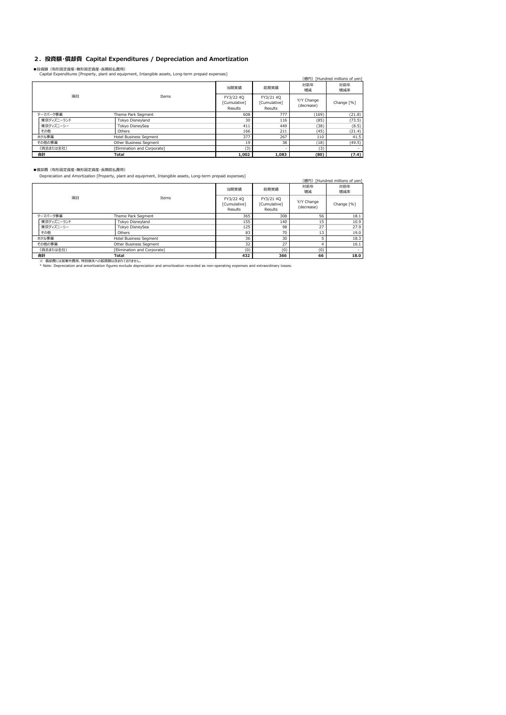## **2.投資額・償却費 Capital Expenditures / Depreciation and Amortization**

■投資額(有形固定資産・無形固定資産・長期前払費用)<br>Capital Expenditures [Property, plant and equipment, Intangible assets, Long-term prepaid expenses]

| Capital Expenditures [Property, plant and equipment, Intangible assets, Long-term prepaid expenses] |                             |                                      |                                      |                          |                                |  |  |
|-----------------------------------------------------------------------------------------------------|-----------------------------|--------------------------------------|--------------------------------------|--------------------------|--------------------------------|--|--|
|                                                                                                     |                             |                                      |                                      |                          | (億円) [Hundred millions of yen] |  |  |
|                                                                                                     |                             | 当期実績                                 | 前期実績                                 | 対前年<br>増減                | 対前年<br>増減率                     |  |  |
| 項目                                                                                                  | Items                       | FY3/22 40<br>[Cumulative]<br>Results | FY3/21 4Q<br>[Cumulative]<br>Results | Y/Y Change<br>(decrease) | Change [%]                     |  |  |
| テーマパーク事業                                                                                            | Theme Park Segment          | 608                                  | 777                                  | (169)                    | (21.8)                         |  |  |
| 東京ディズニーランド                                                                                          | Tokyo Disnevland            | 30                                   | 116                                  | (85)                     | (73.5)                         |  |  |
| 東京ディズニーシー                                                                                           | Tokyo DisneySea             | 411                                  | 449                                  | (38)                     | (8.5)                          |  |  |
| その他                                                                                                 | Others                      | 166                                  | 211                                  | (45)                     | (21.4)                         |  |  |
| ホテル事業                                                                                               | Hotel Business Segment      | 377                                  | 267                                  | 110                      | 41.5                           |  |  |
| その他の事業                                                                                              | Other Business Segment      | 19                                   | 38                                   | (18)                     | (49.5)                         |  |  |
| (消去または全社)                                                                                           | [Elimination and Corporate] | (3)                                  |                                      | (3)                      |                                |  |  |
| 合計                                                                                                  | Total                       | 1,002                                | 1.083                                | (80)                     | (7.4)                          |  |  |

### ■償却費(有形固定資産・無形固定資産・長期前払費用)

Depreciation and Amortization [Property, plant and equipment, Intangible assets, Long-term prepaid expenses]

|                                                                                                                                                                                                                                      | Depreciation and Amortization (Property, plant and equipment, Intangible assets, Long-term prepaid expenses) |                                      |                                      |                          |                                |  |
|--------------------------------------------------------------------------------------------------------------------------------------------------------------------------------------------------------------------------------------|--------------------------------------------------------------------------------------------------------------|--------------------------------------|--------------------------------------|--------------------------|--------------------------------|--|
|                                                                                                                                                                                                                                      |                                                                                                              |                                      |                                      |                          | (億円) [Hundred millions of yen] |  |
|                                                                                                                                                                                                                                      |                                                                                                              | 当期実績                                 | 前期実績                                 | 対前年<br>増減                | 対前年<br>増減率                     |  |
| 項目                                                                                                                                                                                                                                   | Items                                                                                                        | FY3/22 40<br>[Cumulative]<br>Results | FY3/21 40<br>[Cumulative]<br>Results | Y/Y Change<br>(decrease) | Change [%]                     |  |
| テーマパーク事業                                                                                                                                                                                                                             | Theme Park Segment                                                                                           | 365                                  | 308                                  | 56                       | 18.1                           |  |
| 東京ディズニーランド                                                                                                                                                                                                                           | Tokyo Disneyland                                                                                             | 155                                  | 140                                  | 15                       | 10.9                           |  |
| 東京ディズニーシー                                                                                                                                                                                                                            | Tokvo DisnevSea                                                                                              | 125                                  | 98                                   | 27                       | 27.9                           |  |
| その他                                                                                                                                                                                                                                  | Others                                                                                                       | 83                                   | 70                                   | 13                       | 19.0                           |  |
| ホテル事業                                                                                                                                                                                                                                | Hotel Business Segment                                                                                       | 36                                   | 30                                   |                          | 18.3                           |  |
| その他の事業                                                                                                                                                                                                                               | Other Business Segment                                                                                       | 32                                   | 27                                   |                          | 16.1                           |  |
| (消去または全社)                                                                                                                                                                                                                            | <b>Flimination and Corporate1</b>                                                                            | (0)                                  | (0)                                  | (0)                      |                                |  |
| 合計<br>on the community of the community of the community of the community of the community of the community of the community of the community of the community of the community of the community of the community of the community o | <b>Total</b>                                                                                                 | 432                                  | 366                                  | 66                       | 18.0                           |  |

※ 償却費には営業外費用、特別損失への振替額は含まれておりません。<br>\* Note: Depreciation and amortization figures exclude depreciation and amortization recorded as non-operating expenses and extraordinary losses.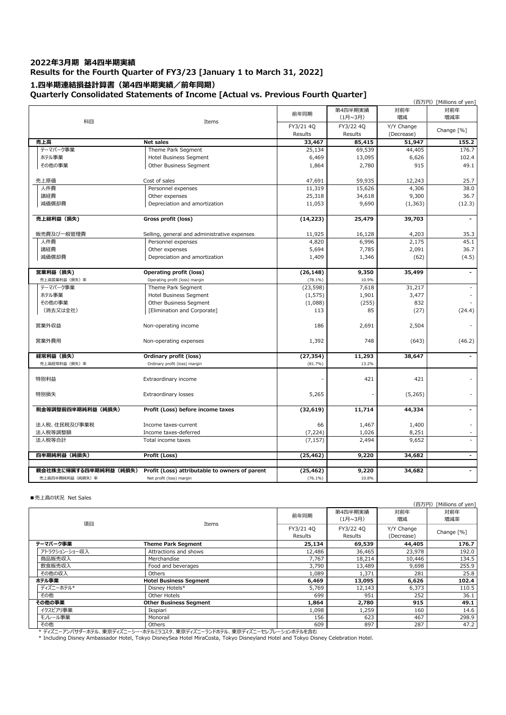## **2022年3⽉期 第4四半期実績 Results for the Fourth Quarter of FY3/23 [January 1 to March 31, 2022] 1.四半期連結損益計算書(第4四半期実績/前年同期) Quarterly Consolidated Statements of Income [Actual vs. Previous Fourth Quarter]**

|                       | consolidated statements of Income pretudi vs. Heriogs Fourth |            |                    |            | (百万円) [Millions of yen] |
|-----------------------|--------------------------------------------------------------|------------|--------------------|------------|-------------------------|
| 科目                    | Items                                                        | 前年同期       | 第4四半期実績<br>(1月~3月) | 対前年<br>増減  | 対前年<br>増減率              |
|                       |                                                              | FY3/21 4Q  | FY3/22 4Q          | Y/Y Change | Change [%]              |
|                       |                                                              | Results    | Results            | (Decrease) |                         |
| 売上高                   | <b>Net sales</b>                                             | 33,467     | 85,415             | 51,947     | 155.2                   |
| テーマパーク事業              | Theme Park Segment                                           | 25,134     | 69,539             | 44,405     | 176.7                   |
| ホテル事業                 | Hotel Business Segment                                       | 6,469      | 13,095             | 6,626      | 102.4                   |
| その他の事業                | Other Business Segment                                       | 1,864      | 2,780              | 915        | 49.1                    |
| 売上原価                  | Cost of sales                                                | 47,691     | 59,935             | 12,243     | 25.7                    |
| 人件費                   | Personnel expenses                                           | 11,319     | 15,626             | 4,306      | 38.0                    |
| 諸経費                   | Other expenses                                               | 25,318     | 34,618             | 9,300      | 36.7                    |
| 減価償却費                 | Depreciation and amortization                                | 11,053     | 9,690              | (1, 363)   | (12.3)                  |
| 売上総利益 (損失)            | Gross profit (loss)                                          | (14, 223)  | 25,479             | 39,703     | $\blacksquare$          |
|                       |                                                              |            |                    |            |                         |
| 販売費及び一般管理費            | Selling, general and administrative expenses                 | 11,925     | 16,128             | 4,203      | 35.3                    |
| 人件費                   | Personnel expenses                                           | 4,820      | 6,996              | 2,175      | 45.1                    |
| 諸経費                   | Other expenses                                               | 5,694      | 7,785              | 2,091      | 36.7                    |
| 減価償却費                 | Depreciation and amortization                                | 1,409      | 1,346              | (62)       | (4.5)                   |
| 営業利益 (損失)             | Operating profit (loss)                                      | (26, 148)  | 9,350              | 35,499     | $\blacksquare$          |
| 売上高営業利益 (損失) 率        | Operating profit (loss) margin                               | $(78.1\%)$ | 10.9%              |            |                         |
| テーマパーク事業              | Theme Park Segment                                           | (23, 598)  | 7,618              | 31,217     |                         |
| ホテル事業                 | Hotel Business Segment                                       | (1, 575)   | 1,901              | 3,477      |                         |
| その他の事業                | Other Business Segment                                       | (1,088)    | (255)              | 832        |                         |
| (消去又は全社)              | [Elimination and Corporate]                                  | 113        | 85                 | (27)       | (24.4)                  |
| 営業外収益                 | Non-operating income                                         | 186        | 2,691              | 2,504      |                         |
| 営業外費用                 | Non-operating expenses                                       | 1,392      | 748                | (643)      | (46.2)                  |
| 経常利益(損失)              | Ordinary profit (loss)                                       | (27, 354)  | 11,293             | 38,647     |                         |
| 売上高経常利益 (損失) 率        | Ordinary profit (loss) margin                                | (81.7%)    | 13.2%              |            |                         |
| 特別利益                  | Extraordinary income                                         |            | 421                | 421        |                         |
| 特別損失                  | Extraordinary losses                                         | 5,265      |                    | (5,265)    |                         |
| 税金等調整前四半期純利益(純損失)     | Profit (Loss) before income taxes                            | (32, 619)  | 11,714             | 44,334     | -                       |
| 法人税、住民税及び事業税          | Income taxes-current                                         | 66         | 1,467              | 1,400      |                         |
| 法人税等調整額               | Income taxes-deferred                                        | (7, 224)   | 1,026              | 8,251      |                         |
| 法人税等合計                | Total income taxes                                           | (7, 157)   | 2,494              | 9,652      | ä,                      |
| 四半期純利益 (純損失)          | Profit (Loss)                                                | (25, 462)  | 9,220              | 34,682     | $\blacksquare$          |
|                       |                                                              |            |                    |            |                         |
| 親会社株主に帰属する四半期純利益(純損失) | Profit (Loss) attributable to owners of parent               | (25, 462)  | 9,220              | 34,682     | $\blacksquare$          |
| 売上高四半期純利益(純損失)率       | Net profit (loss) margin                                     | $(76.1\%)$ | 10.8%              |            |                         |

## ■売上高の状況 Net Sales

|               |                               |                      |                      | $U = 71.1$ $U = 1.1$ $U = 1.1$ |            |  |  |
|---------------|-------------------------------|----------------------|----------------------|--------------------------------|------------|--|--|
|               |                               | 前年同期                 | 第4四半期実績<br>(1月~3月)   | 対前年<br>増減                      | 対前年<br>増減率 |  |  |
| 項目            | Items                         | FY3/21 40<br>Results | FY3/22 40<br>Results | Y/Y Change<br>(Decrease)       | Change [%] |  |  |
| テーマパーク事業      | <b>Theme Park Segment</b>     | 25,134               | 69,539               | 44,405                         | 176.7      |  |  |
| アトラクション・ショー収入 | Attractions and shows         | 12,486               | 36,465               | 23,978                         | 192.0      |  |  |
| 商品販売収入        | Merchandise                   | 7,767                | 18,214               | 10,446                         | 134.5      |  |  |
| 飲食販売収入        | Food and beverages            | 3,790                | 13,489               | 9,698                          | 255.9      |  |  |
| その他の収入        | Others                        | 1,089                | 1,371                | 281                            | 25.8       |  |  |
| ホテル事業         | <b>Hotel Business Segment</b> | 6,469                | 13,095               | 6,626                          | 102.4      |  |  |
| ディズニーホテル*     | Disney Hotels*                | 5,769                | 12,143               | 6,373                          | 110.5      |  |  |
| その他           | Other Hotels                  | 699                  | 951                  | 252                            | 36.1       |  |  |
| その他の事業        | <b>Other Business Seament</b> | 1,864                | 2,780                | 915                            | 49.1       |  |  |
| イクスピアリ事業      | Ikspiari                      | 1,098                | 1,259                | 160                            | 14.6       |  |  |
| モノレール事業       | Monorail                      | 156                  | 623                  | 467                            | 298.9      |  |  |
| その他           | Others                        | 609                  | 897                  | 287                            | 47.2       |  |  |

\* ディズニーアンバサダーホテル、東京ディズニーシー・ホテルミラコスタ、東京ディズニーランドホテル、東京ディズニーセレブレーションホテルを含む<br>\* Including Disney Ambassador Hotel, Tokyo DisneySea Hotel MiraCosta, Tokyo Disneyland Hotel and Tokyo Disney Celebration Hotel.

(百万円) [Millions of yen]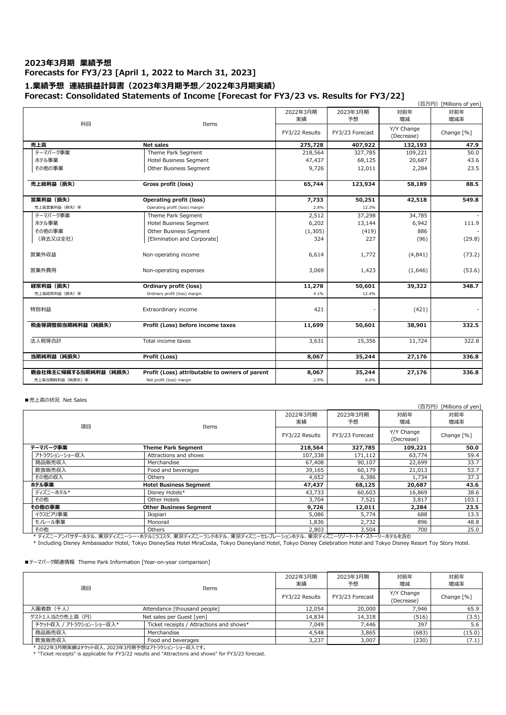## **2023年3⽉期 業績予想 Forecasts for FY3/23 [April 1, 2022 to March 31, 2023] 1.業績予想 連結損益計算書(2023年3⽉期予想/2022年3⽉期実績)**

## **Forecast: Consolidated Statements of Income [Forecast for FY3/23 vs. Results for FY3/22]**

|                      |                                                |                |                 |            | (百万円) [Millions of yen] |
|----------------------|------------------------------------------------|----------------|-----------------|------------|-------------------------|
|                      |                                                | 2022年3月期       | 2023年3月期        | 対前年        | 対前年                     |
|                      |                                                | 実績             | 予想              | 増減         | 増減率                     |
| 科目                   | Items                                          |                |                 | Y/Y Change |                         |
|                      |                                                | FY3/22 Results | FY3/23 Forecast | (Decrease) | Change [%]              |
| 売上高                  | <b>Net sales</b>                               | 275,728        | 407,922         | 132,193    | 47.9                    |
| テーマパーク事業             | Theme Park Segment                             | 218,564        | 327,785         | 109,221    | 50.0                    |
| ホテル事業                | Hotel Business Segment                         | 47,437         | 68,125          | 20,687     | 43.6                    |
| その他の事業               | Other Business Segment                         | 9,726          | 12,011          | 2,284      | 23.5                    |
| 売上総利益 (損失)           | Gross profit (loss)                            | 65,744         | 123,934         | 58,189     | 88.5                    |
|                      |                                                |                |                 |            |                         |
| 営業利益 (損失)            | <b>Operating profit (loss)</b>                 | 7,733          | 50,251          | 42,518     | 549.8                   |
| 売上高営業利益(損失)率         | Operating profit (loss) margin                 | 2.8%           | 12.3%           |            |                         |
| テーマパーク事業             | Theme Park Segment                             | 2,512          | 37,298          | 34,785     |                         |
| ホテル事業                | <b>Hotel Business Segment</b>                  | 6,202          | 13,144          | 6,942      | 111.9                   |
| その他の事業               | Other Business Segment                         | (1, 305)       | (419)           | 886        |                         |
| (消去又は全社)             | [Elimination and Corporate]                    | 324            | 227             | (96)       | (29.8)                  |
| 営業外収益                | Non-operating income                           | 6,614          | 1,772           | (4,841)    | (73.2)                  |
| 営業外費用                | Non-operating expenses                         | 3,069          | 1,423           | (1,646)    | (53.6)                  |
| 経常利益 (損失)            | Ordinary profit (loss)                         | 11,278         | 50,601          | 39,322     | 348.7                   |
| 売上高経常利益(損失)率         | Ordinary profit (loss) margin                  | 4.1%           | 12.4%           |            |                         |
| 特別利益                 | Extraordinary income                           | 421            |                 | (421)      |                         |
| 税金等調整前当期純利益(純損失)     | Profit (Loss) before income taxes              | 11,699         | 50,601          | 38,901     | 332.5                   |
| 法人税等合計               | Total income taxes                             | 3,631          | 15,356          | 11,724     | 322.8                   |
| 当期純利益 (純損失)          | Profit (Loss)                                  | 8,067          | 35,244          | 27,176     | 336.8                   |
|                      |                                                |                |                 |            |                         |
| 親会社株主に帰属する当期純利益(純損失) | Profit (Loss) attributable to owners of parent | 8,067          | 35,244          | 27,176     | 336.8                   |
| 売上高当期純利益(純損失)率       | Net profit (loss) margin                       | 2.9%           | 8.6%            |            |                         |

### ■売上高の状況 Net Sales

|                             |                                            |                                  |                           |                          | (百万円) [Millions of yen] |
|-----------------------------|--------------------------------------------|----------------------------------|---------------------------|--------------------------|-------------------------|
| 項目                          | Items                                      | 2022年3月期<br>2023年3月期<br>実績<br>予想 |                           | 対前年<br>増減                | 対前年<br>増減率              |
|                             |                                            | FY3/22 Results                   | FY3/23 Forecast           | Y/Y Change<br>(Decrease) | Change [%]              |
| テーマパーク事業                    | <b>Theme Park Segment</b>                  | 218,564                          | 327,785                   | 109,221                  | 50.0                    |
| アトラクション・ショー収入               | Attractions and shows                      | 107,338                          | 171,112                   | 63,774                   | 59.4                    |
| 商品販売収入                      | Merchandise                                | 67,408                           | 90,107                    | 22,699                   | 33.7                    |
| 飲食販売収入                      | Food and beverages                         | 39,165                           | 60,179                    | 21,013                   | 53.7                    |
| その他の収入                      | Others                                     | 4,652                            | 6,386                     | 1,734                    | 37.3                    |
| ホテル事業                       | <b>Hotel Business Segment</b>              | 47,437                           | 68,125                    | 20,687                   | 43.6                    |
| ディズニーホテル*                   | Disney Hotels*                             | 43,733                           | 60,603                    | 16,869                   | 38.6                    |
| その他                         | Other Hotels                               | 3,704                            | 7,521                     | 3,817                    | 103.1                   |
| その他の事業                      | <b>Other Business Segment</b>              | 9,726                            | 12,011                    | 2,284                    | 23.5                    |
| イクスピアリ事業                    | Ikspiari                                   | 5,086                            | 5,774                     | 688                      | 13.5                    |
| モノレール事業                     | Monorail                                   | 1,836                            | 2,732                     | 896                      | 48.8                    |
| その他                         | <b>Others</b>                              | 2,803                            | 3,504                     | 700                      | 25.0                    |
| * デュデー・ラン ピロガーエー エーエーデュデー・ト | キニットエラスト 大士ごしブー ニッドキニッ 士士ごしブー しいゴリート ヘルキニッ |                                  | 士吉子 デーコいご エコ フラヒコロ エニッチヘモ |                          |                         |

\* ディズニーアンバサダーホテル、東京ディズニーシー・ホテルミラコスタ、東京ディズニーランドホテル、東京ディズニーセレブレーションホテル、東京ディズニーリゾート・トイ・ストーリーホテルを含む<br>\* Including Disney Ambassador Hotel, Tokyo DisneySea Hotel MiraCosta, Tokyo Disneyland Hotel, Tokyo Disney Celebration Hotel

## ■テーマパーク関連情報 Theme Park Information [Year-on-year comparison]

|                                          | 項目                      | Items                                    | 2022年3月期<br>実績 | 2023年3月期<br>予想  | 対前年<br>増減                | 対前年<br>増減率 |
|------------------------------------------|-------------------------|------------------------------------------|----------------|-----------------|--------------------------|------------|
|                                          |                         |                                          | FY3/22 Results | FY3/23 Forecast | Y/Y Change<br>(Decrease) | Change [%] |
| 入園者数(千人)<br>Attendance [thousand people] |                         | 12,054                                   | 20,000         | 7.946           | 65.9                     |            |
|                                          | ゲスト1人当たり売上高 (円)         | Net sales per Guest [yen]                | 14,834         | 14,318          | (516)                    | (3.5)      |
|                                          | チケット収入 / アトラクション・ショー収入* | Ticket receipts / Attractions and shows* | 7.049          | 7.446           | 397                      | 5.6        |
|                                          | 商品販売収入                  | Merchandise                              | 4,548          | 3,865           | (683)                    | (15.0)     |
|                                          | 飲食販売収入                  | Food and beverages                       | 3,237          | 3,007           | (230)                    | (7.1)      |

\* 2022年3月期実績はチケット収入、2023年3月期予想はアトラクション・ショー収入です。<br>\* "Ticket receipts" is applicable for FY3/22 results and "Attractions and shows" for FY3/23 forecast.